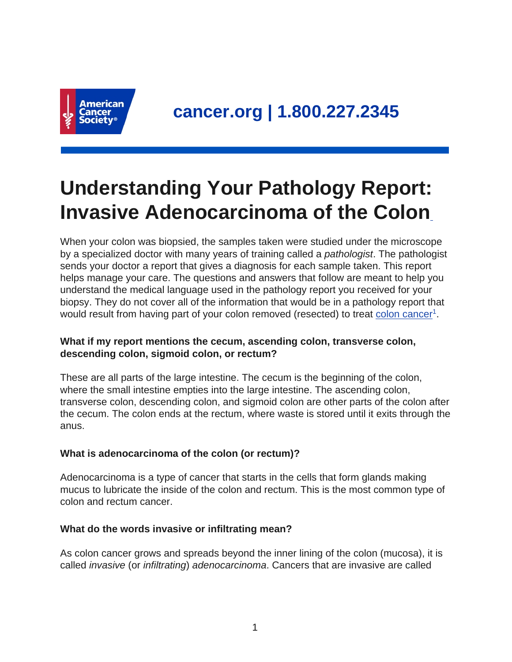

# **Understanding Your Pathology Report: Invasive Adenocarcinoma of the Colon**

When your colon was biopsied, the samples taken were studied under the microscope by a specialized doctor with many years of training called a pathologist. The pathologist sends your doctor a report that gives a diagnosis for each sample taken. This report helps manage your care. The questions and answers that follow are meant to help you understand the medical language used in the pathology report you received for your biopsy. They do not cover all of the information that would be in a pathology report that would result from having part of your colon removed (resected) to treat [colon cancer](https://www.cancer.org/content/cancer/en/cancer/colon-rectal-cancer.html)<sup>1</sup>.

# **What if my report mentions the cecum, ascending colon, transverse colon, descending colon, sigmoid colon, or rectum?**

These are all parts of the large intestine. The cecum is the beginning of the colon, where the small intestine empties into the large intestine. The ascending colon, transverse colon, descending colon, and sigmoid colon are other parts of the colon after the cecum. The colon ends at the rectum, where waste is stored until it exits through the anus.

# **What is adenocarcinoma of the colon (or rectum)?**

Adenocarcinoma is a type of cancer that starts in the cells that form glands making mucus to lubricate the inside of the colon and rectum. This is the most common type of colon and rectum cancer.

# **What do the words invasive or infiltrating mean?**

As colon cancer grows and spreads beyond the inner lining of the colon (mucosa), it is called invasive (or infiltrating) adenocarcinoma. Cancers that are invasive are called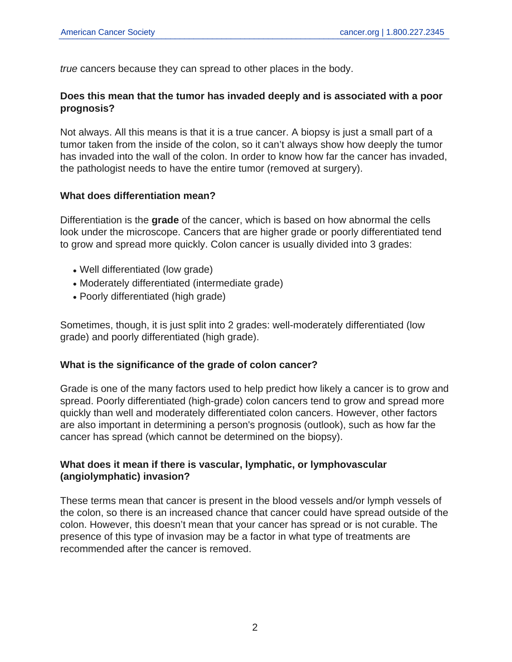true cancers because they can spread to other places in the body.

#### **Does this mean that the tumor has invaded deeply and is associated with a poor prognosis?**

Not always. All this means is that it is a true cancer. A biopsy is just a small part of a tumor taken from the inside of the colon, so it can't always show how deeply the tumor has invaded into the wall of the colon. In order to know how far the cancer has invaded, the pathologist needs to have the entire tumor (removed at surgery).

#### **What does differentiation mean?**

Differentiation is the **grade** of the cancer, which is based on how abnormal the cells look under the microscope. Cancers that are higher grade or poorly differentiated tend to grow and spread more quickly. Colon cancer is usually divided into 3 grades:

- Well differentiated (low grade)
- Moderately differentiated (intermediate grade)
- Poorly differentiated (high grade)

Sometimes, though, it is just split into 2 grades: well-moderately differentiated (low grade) and poorly differentiated (high grade).

#### **What is the significance of the grade of colon cancer?**

Grade is one of the many factors used to help predict how likely a cancer is to grow and spread. Poorly differentiated (high-grade) colon cancers tend to grow and spread more quickly than well and moderately differentiated colon cancers. However, other factors are also important in determining a person's prognosis (outlook), such as how far the cancer has spread (which cannot be determined on the biopsy).

# **What does it mean if there is vascular, lymphatic, or lymphovascular (angiolymphatic) invasion?**

These terms mean that cancer is present in the blood vessels and/or lymph vessels of the colon, so there is an increased chance that cancer could have spread outside of the colon. However, this doesn't mean that your cancer has spread or is not curable. The presence of this type of invasion may be a factor in what type of treatments are recommended after the cancer is removed.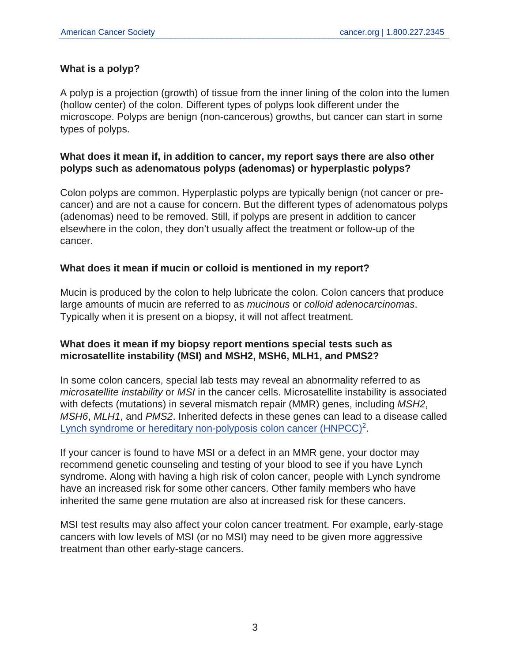#### **What is a polyp?**

A polyp is a projection (growth) of tissue from the inner lining of the colon into the lumen (hollow center) of the colon. Different types of polyps look different under the microscope. Polyps are benign (non-cancerous) growths, but cancer can start in some types of polyps.

#### **What does it mean if, in addition to cancer, my report says there are also other polyps such as adenomatous polyps (adenomas) or hyperplastic polyps?**

Colon polyps are common. Hyperplastic polyps are typically benign (not cancer or precancer) and are not a cause for concern. But the different types of adenomatous polyps (adenomas) need to be removed. Still, if polyps are present in addition to cancer elsewhere in the colon, they don't usually affect the treatment or follow-up of the cancer.

#### **What does it mean if mucin or colloid is mentioned in my report?**

Mucin is produced by the colon to help lubricate the colon. Colon cancers that produce large amounts of mucin are referred to as mucinous or colloid adenocarcinomas. Typically when it is present on a biopsy, it will not affect treatment.

#### **What does it mean if my biopsy report mentions special tests such as microsatellite instability (MSI) and MSH2, MSH6, MLH1, and PMS2?**

In some colon cancers, special lab tests may reveal an abnormality referred to as microsatellite instability or MSI in the cancer cells. Microsatellite instability is associated with defects (mutations) in several mismatch repair (MMR) genes, including MSH2, MSH6, MLH1, and PMS2. Inherited defects in these genes can lead to a disease called [Lynch syndrome or hereditary non-polyposis colon cancer \(HNPCC\)](https://www.cancer.org/content/cancer/en/cancer/colon-rectal-cancer/causes-risks-prevention/risk-factors.html)<sup>2</sup>.

If your cancer is found to have MSI or a defect in an MMR gene, your doctor may recommend genetic counseling and testing of your blood to see if you have Lynch syndrome. Along with having a high risk of colon cancer, people with Lynch syndrome have an increased risk for some other cancers. Other family members who have inherited the same gene mutation are also at increased risk for these cancers.

MSI test results may also affect your colon cancer treatment. For example, early-stage cancers with low levels of MSI (or no MSI) may need to be given more aggressive treatment than other early-stage cancers.